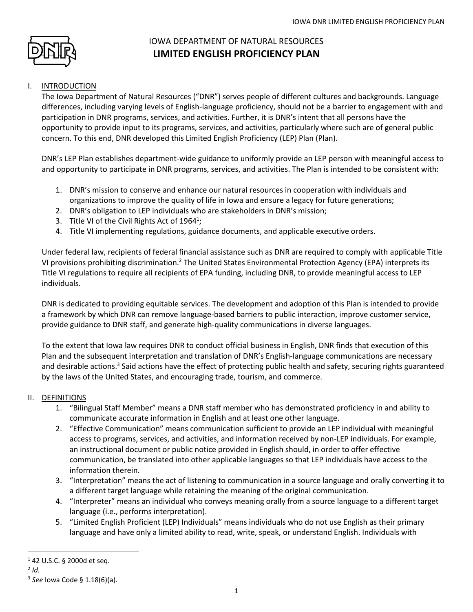

# IOWA DEPARTMENT OF NATURAL RESOURCES **LIMITED ENGLISH PROFICIENCY PLAN**

# I. INTRODUCTION

The Iowa Department of Natural Resources ("DNR") serves people of different cultures and backgrounds. Language differences, including varying levels of English-language proficiency, should not be a barrier to engagement with and participation in DNR programs, services, and activities. Further, it is DNR's intent that all persons have the opportunity to provide input to its programs, services, and activities, particularly where such are of general public concern. To this end, DNR developed this Limited English Proficiency (LEP) Plan (Plan).

DNR's LEP Plan establishes department-wide guidance to uniformly provide an LEP person with meaningful access to and opportunity to participate in DNR programs, services, and activities. The Plan is intended to be consistent with:

- 1. DNR's mission to conserve and enhance our natural resources in cooperation with individuals and organizations to improve the quality of life in Iowa and ensure a legacy for future generations;
- 2. DNR's obligation to LEP individuals who are stakeholders in DNR's mission;
- 3. Title VI of the Civil Rights Act of  $1964^1$ ;
- 4. Title VI implementing regulations, guidance documents, and applicable executive orders.

Under federal law, recipients of federal financial assistance such as DNR are required to comply with applicable Title VI provisions prohibiting discrimination.<sup>2</sup> The United States Environmental Protection Agency (EPA) interprets its Title VI regulations to require all recipients of EPA funding, including DNR, to provide meaningful access to LEP individuals.

DNR is dedicated to providing equitable services. The development and adoption of this Plan is intended to provide a framework by which DNR can remove language-based barriers to public interaction, improve customer service, provide guidance to DNR staff, and generate high-quality communications in diverse languages.

To the extent that Iowa law requires DNR to conduct official business in English, DNR finds that execution of this Plan and the subsequent interpretation and translation of DNR's English-language communications are necessary and desirable actions.<sup>3</sup> Said actions have the effect of protecting public health and safety, securing rights guaranteed by the laws of the United States, and encouraging trade, tourism, and commerce.

#### II. DEFINITIONS

- 1. "Bilingual Staff Member" means a DNR staff member who has demonstrated proficiency in and ability to communicate accurate information in English and at least one other language.
- 2. "Effective Communication" means communication sufficient to provide an LEP individual with meaningful access to programs, services, and activities, and information received by non-LEP individuals. For example, an instructional document or public notice provided in English should, in order to offer effective communication, be translated into other applicable languages so that LEP individuals have access to the information therein.
- 3. "Interpretation" means the act of listening to communication in a source language and orally converting it to a different target language while retaining the meaning of the original communication.
- 4. "Interpreter" means an individual who conveys meaning orally from a source language to a different target language (i.e., performs interpretation).
- 5. "Limited English Proficient (LEP) Individuals" means individuals who do not use English as their primary language and have only a limited ability to read, write, speak, or understand English. Individuals with

 $\overline{a}$ 

<sup>1</sup> 42 U.S.C. § 2000d et seq.

<sup>2</sup> *Id.*

<sup>3</sup> *See* Iowa Code § 1.18(6)(a).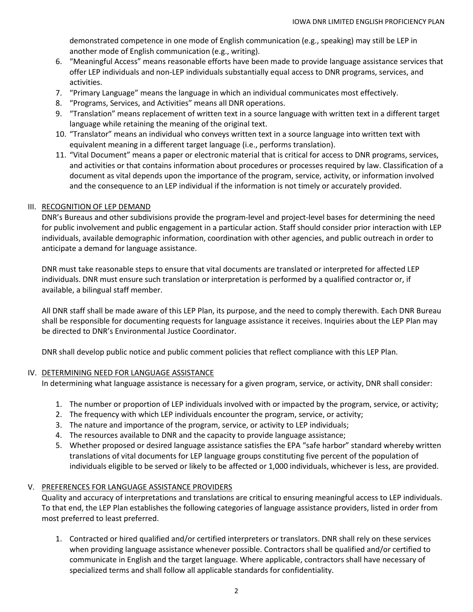demonstrated competence in one mode of English communication (e.g., speaking) may still be LEP in another mode of English communication (e.g., writing).

- 6. "Meaningful Access" means reasonable efforts have been made to provide language assistance services that offer LEP individuals and non-LEP individuals substantially equal access to DNR programs, services, and activities.
- 7. "Primary Language" means the language in which an individual communicates most effectively.
- 8. "Programs, Services, and Activities" means all DNR operations.
- 9. "Translation" means replacement of written text in a source language with written text in a different target language while retaining the meaning of the original text.
- 10. "Translator" means an individual who conveys written text in a source language into written text with equivalent meaning in a different target language (i.e., performs translation).
- 11. "Vital Document" means a paper or electronic material that is critical for access to DNR programs, services, and activities or that contains information about procedures or processes required by law. Classification of a document as vital depends upon the importance of the program, service, activity, or information involved and the consequence to an LEP individual if the information is not timely or accurately provided.

## III. RECOGNITION OF LEP DEMAND

DNR's Bureaus and other subdivisions provide the program-level and project-level bases for determining the need for public involvement and public engagement in a particular action. Staff should consider prior interaction with LEP individuals, available demographic information, coordination with other agencies, and public outreach in order to anticipate a demand for language assistance.

DNR must take reasonable steps to ensure that vital documents are translated or interpreted for affected LEP individuals. DNR must ensure such translation or interpretation is performed by a qualified contractor or, if available, a bilingual staff member.

All DNR staff shall be made aware of this LEP Plan, its purpose, and the need to comply therewith. Each DNR Bureau shall be responsible for documenting requests for language assistance it receives. Inquiries about the LEP Plan may be directed to DNR's Environmental Justice Coordinator.

DNR shall develop public notice and public comment policies that reflect compliance with this LEP Plan.

#### IV. DETERMINING NEED FOR LANGUAGE ASSISTANCE

In determining what language assistance is necessary for a given program, service, or activity, DNR shall consider:

- 1. The number or proportion of LEP individuals involved with or impacted by the program, service, or activity;
- 2. The frequency with which LEP individuals encounter the program, service, or activity;
- 3. The nature and importance of the program, service, or activity to LEP individuals;
- 4. The resources available to DNR and the capacity to provide language assistance;
- 5. Whether proposed or desired language assistance satisfies the EPA "safe harbor" standard whereby written translations of vital documents for LEP language groups constituting five percent of the population of individuals eligible to be served or likely to be affected or 1,000 individuals, whichever is less, are provided.

## V. PREFERENCES FOR LANGUAGE ASSISTANCE PROVIDERS

Quality and accuracy of interpretations and translations are critical to ensuring meaningful access to LEP individuals. To that end, the LEP Plan establishes the following categories of language assistance providers, listed in order from most preferred to least preferred.

1. Contracted or hired qualified and/or certified interpreters or translators. DNR shall rely on these services when providing language assistance whenever possible. Contractors shall be qualified and/or certified to communicate in English and the target language. Where applicable, contractors shall have necessary of specialized terms and shall follow all applicable standards for confidentiality.